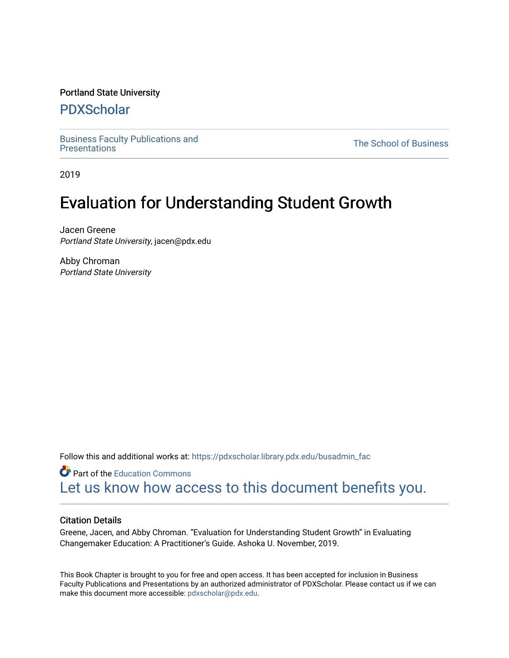#### Portland State University

### [PDXScholar](https://pdxscholar.library.pdx.edu/)

[Business Faculty Publications and](https://pdxscholar.library.pdx.edu/busadmin_fac) 

**The School of Business** 

2019

## Evaluation for Understanding Student Growth

Jacen Greene Portland State University, jacen@pdx.edu

Abby Chroman Portland State University

Follow this and additional works at: [https://pdxscholar.library.pdx.edu/busadmin\\_fac](https://pdxscholar.library.pdx.edu/busadmin_fac?utm_source=pdxscholar.library.pdx.edu%2Fbusadmin_fac%2F218&utm_medium=PDF&utm_campaign=PDFCoverPages) 

**C** Part of the [Education Commons](http://network.bepress.com/hgg/discipline/784?utm_source=pdxscholar.library.pdx.edu%2Fbusadmin_fac%2F218&utm_medium=PDF&utm_campaign=PDFCoverPages) [Let us know how access to this document benefits you.](http://library.pdx.edu/services/pdxscholar-services/pdxscholar-feedback/?ref=https://pdxscholar.library.pdx.edu/busadmin_fac/218) 

#### Citation Details

Greene, Jacen, and Abby Chroman. "Evaluation for Understanding Student Growth" in Evaluating Changemaker Education: A Practitioner's Guide. Ashoka U. November, 2019.

This Book Chapter is brought to you for free and open access. It has been accepted for inclusion in Business Faculty Publications and Presentations by an authorized administrator of PDXScholar. Please contact us if we can make this document more accessible: [pdxscholar@pdx.edu.](mailto:pdxscholar@pdx.edu)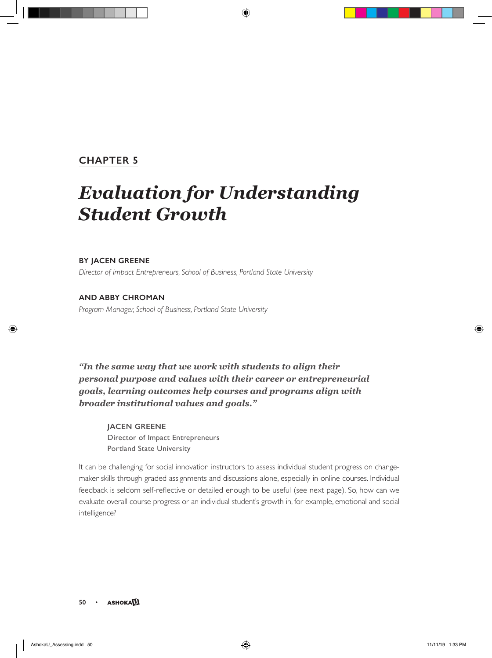#### **CHAPTER 5**

# *Evaluation for Understanding Student Growth*

#### **BY JACEN GREENE**

*Director of Impact Entrepreneurs, School of Business, Portland State University*

#### **AND ABBY CHROMAN**

*Program Manager, School of Business, Portland State University*

*"In the same way that we work with students to align their personal purpose and values with their career or entrepreneurial goals, learning outcomes help courses and programs align with broader institutional values and goals."* 

**JACEN GREENE** Director of Impact Entrepreneurs Portland State University

It can be challenging for social innovation instructors to assess individual student progress on changemaker skills through graded assignments and discussions alone, especially in online courses. Individual feedback is seldom self-reflective or detailed enough to be useful (see next page). So, how can we evaluate overall course progress or an individual student's growth in, for example, emotional and social intelligence?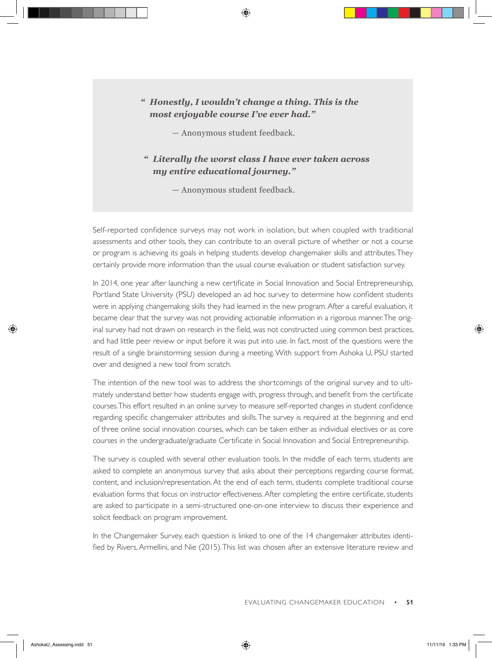#### *" Honestly, I wouldn't change a thing. This is the most enjoyable course I've ever had."*

— Anonymous student feedback.

#### *" Literally the worst class I have ever taken across my entire educational journey."*

— Anonymous student feedback.

Self-reported confidence surveys may not work in isolation, but when coupled with traditional assessments and other tools, they can contribute to an overall picture of whether or not a course or program is achieving its goals in helping students develop changemaker skills and attributes. They certainly provide more information than the usual course evaluation or student satisfaction survey.

In 2014, one year after launching a new certificate in Social Innovation and Social Entrepreneurship, Portland State University (PSU) developed an ad hoc survey to determine how confident students were in applying changemaking skills they had learned in the new program. After a careful evaluation, it became clear that the survey was not providing actionable information in a rigorous manner. The original survey had not drawn on research in the field, was not constructed using common best practices, and had little peer review or input before it was put into use. In fact, most of the questions were the result of a single brainstorming session during a meeting. With support from Ashoka U, PSU started over and designed a new tool from scratch.

The intention of the new tool was to address the shortcomings of the original survey and to ultimately understand better how students engage with, progress through, and benefit from the certificate courses. This effort resulted in an online survey to measure self-reported changes in student confidence regarding specific changemaker attributes and skills. The survey is required at the beginning and end of three online social innovation courses, which can be taken either as individual electives or as core courses in the undergraduate/graduate Certificate in Social Innovation and Social Entrepreneurship.

The survey is coupled with several other evaluation tools. In the middle of each term, students are asked to complete an anonymous survey that asks about their perceptions regarding course format, content, and inclusion/representation. At the end of each term, students complete traditional course evaluation forms that focus on instructor effectiveness. After completing the entire certificate, students are asked to participate in a semi-structured one-on-one interview to discuss their experience and solicit feedback on program improvement.

In the Changemaker Survey, each question is linked to one of the 14 changemaker attributes identified by Rivers, Armellini, and Nie (2015). This list was chosen after an extensive literature review and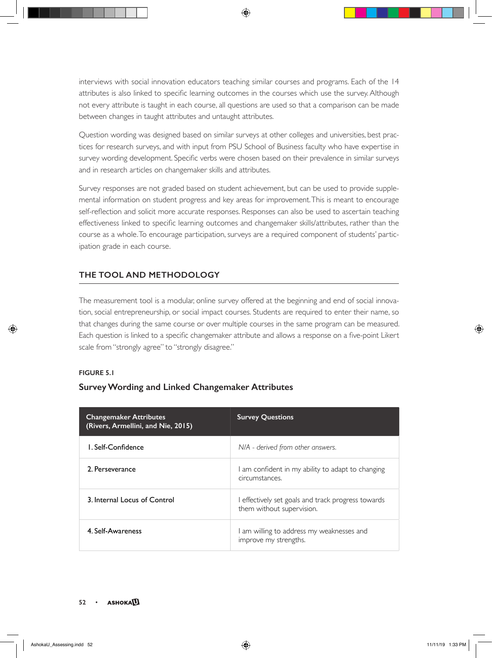interviews with social innovation educators teaching similar courses and programs. Each of the 14 attributes is also linked to specific learning outcomes in the courses which use the survey. Although not every attribute is taught in each course, all questions are used so that a comparison can be made between changes in taught attributes and untaught attributes.

Question wording was designed based on similar surveys at other colleges and universities, best practices for research surveys, and with input from PSU School of Business faculty who have expertise in survey wording development. Specific verbs were chosen based on their prevalence in similar surveys and in research articles on changemaker skills and attributes.

Survey responses are not graded based on student achievement, but can be used to provide supplemental information on student progress and key areas for improvement. This is meant to encourage self-reflection and solicit more accurate responses. Responses can also be used to ascertain teaching effectiveness linked to specific learning outcomes and changemaker skills/attributes, rather than the course as a whole. To encourage participation, surveys are a required component of students' participation grade in each course.

#### **THE TOOL AND METHODOLOGY**

The measurement tool is a modular, online survey offered at the beginning and end of social innovation, social entrepreneurship, or social impact courses. Students are required to enter their name, so that changes during the same course or over multiple courses in the same program can be measured. Each question is linked to a specific changemaker attribute and allows a response on a five-point Likert scale from "strongly agree" to "strongly disagree."

#### **FIGURE 5.1**

#### **Survey Wording and Linked Changemaker Attributes**

| <b>Changemaker Attributes</b><br>(Rivers, Armellini, and Nie, 2015) | <b>Survey Questions</b>                                                       |
|---------------------------------------------------------------------|-------------------------------------------------------------------------------|
| L. Self-Confidence                                                  | N/A - derived from other answers.                                             |
| 2. Perseverance                                                     | I am confident in my ability to adapt to changing<br>circumstances.           |
| 3. Internal Locus of Control                                        | effectively set goals and track progress towards<br>them without supervision. |
| 4. Self-Awareness                                                   | I am willing to address my weaknesses and<br>improve my strengths.            |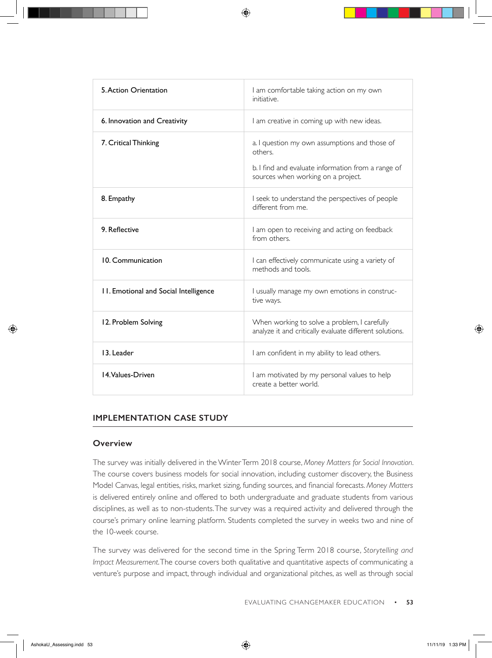| 5. Action Orientation                 | I am comfortable taking action on my own<br>initiative.                                                                                              |
|---------------------------------------|------------------------------------------------------------------------------------------------------------------------------------------------------|
| 6. Innovation and Creativity          | I am creative in coming up with new ideas.                                                                                                           |
| 7. Critical Thinking                  | a. I question my own assumptions and those of<br>others.<br>b. I find and evaluate information from a range of<br>sources when working on a project. |
| 8. Empathy                            | I seek to understand the perspectives of people<br>different from me.                                                                                |
| 9. Reflective                         | I am open to receiving and acting on feedback<br>from others.                                                                                        |
| 10. Communication                     | I can effectively communicate using a variety of<br>methods and tools.                                                                               |
| 11. Emotional and Social Intelligence | I usually manage my own emotions in construc-<br>tive ways.                                                                                          |
| 12. Problem Solving                   | When working to solve a problem, I carefully<br>analyze it and critically evaluate different solutions.                                              |
| 13. Leader                            | I am confident in my ability to lead others.                                                                                                         |
| 14 Values-Driven                      | I am motivated by my personal values to help<br>create a better world.                                                                               |

#### **IMPLEMENTATION CASE STUDY**

#### **Overview**

The survey was initially delivered in the Winter Term 2018 course, *Money Matters for Social Innovation*. The course covers business models for social innovation, including customer discovery, the Business Model Canvas, legal entities, risks, market sizing, funding sources, and financial forecasts. *Money Matters* is delivered entirely online and offered to both undergraduate and graduate students from various disciplines, as well as to non-students. The survey was a required activity and delivered through the course's primary online learning platform. Students completed the survey in weeks two and nine of the 10-week course.

The survey was delivered for the second time in the Spring Term 2018 course, *Storytelling and Impact Measurement*. The course covers both qualitative and quantitative aspects of communicating a venture's purpose and impact, through individual and organizational pitches, as well as through social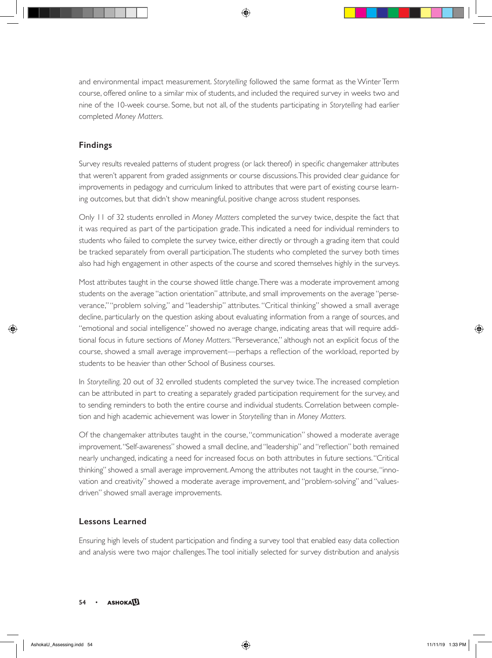and environmental impact measurement. *Storytelling* followed the same format as the Winter Term course, offered online to a similar mix of students, and included the required survey in weeks two and nine of the 10-week course. Some, but not all, of the students participating in *Storytelling* had earlier completed *Money Matters.* 

#### **Findings**

Survey results revealed patterns of student progress (or lack thereof) in specific changemaker attributes that weren't apparent from graded assignments or course discussions. This provided clear guidance for improvements in pedagogy and curriculum linked to attributes that were part of existing course learning outcomes, but that didn't show meaningful, positive change across student responses.

Only 11 of 32 students enrolled in *Money Matters* completed the survey twice, despite the fact that it was required as part of the participation grade. This indicated a need for individual reminders to students who failed to complete the survey twice, either directly or through a grading item that could be tracked separately from overall participation. The students who completed the survey both times also had high engagement in other aspects of the course and scored themselves highly in the surveys.

Most attributes taught in the course showed little change. There was a moderate improvement among students on the average "action orientation" attribute, and small improvements on the average "perseverance," "problem solving," and "leadership" attributes. "Critical thinking" showed a small average decline, particularly on the question asking about evaluating information from a range of sources, and "emotional and social intelligence" showed no average change, indicating areas that will require additional focus in future sections of *Money Matters*. "Perseverance," although not an explicit focus of the course, showed a small average improvement—perhaps a reflection of the workload, reported by students to be heavier than other School of Business courses.

In *Storytelling,* 20 out of 32 enrolled students completed the survey twice. The increased completion can be attributed in part to creating a separately graded participation requirement for the survey, and to sending reminders to both the entire course and individual students. Correlation between completion and high academic achievement was lower in *Storytelling* than in *Money Matters.*

Of the changemaker attributes taught in the course, "communication" showed a moderate average improvement. "Self-awareness" showed a small decline, and "leadership" and "reflection" both remained nearly unchanged, indicating a need for increased focus on both attributes in future sections. "Critical thinking" showed a small average improvement. Among the attributes not taught in the course, "innovation and creativity" showed a moderate average improvement, and "problem-solving" and "valuesdriven" showed small average improvements.

#### **Lessons Learned**

Ensuring high levels of student participation and finding a survey tool that enabled easy data collection and analysis were two major challenges. The tool initially selected for survey distribution and analysis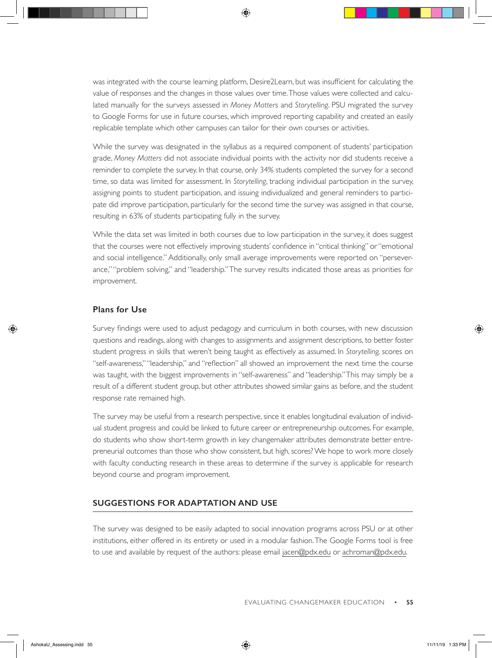was integrated with the course learning platform, Desire2Learn, but was insufficient for calculating the value of responses and the changes in those values over time. Those values were collected and calculated manually for the surveys assessed in *Money Matters* and *Storytelling*. PSU migrated the survey to Google Forms for use in future courses, which improved reporting capability and created an easily replicable template which other campuses can tailor for their own courses or activities.

While the survey was designated in the syllabus as a required component of students' participation grade, *Money Matters* did not associate individual points with the activity nor did students receive a reminder to complete the survey. In that course, only 34% students completed the survey for a second time, so data was limited for assessment. In *Storytelling*, tracking individual participation in the survey, assigning points to student participation, and issuing individualized and general reminders to participate did improve participation, particularly for the second time the survey was assigned in that course, resulting in 63% of students participating fully in the survey.

While the data set was limited in both courses due to low participation in the survey, it does suggest that the courses were not effectively improving students' confidence in "critical thinking" or "emotional and social intelligence." Additionally, only small average improvements were reported on "perseverance," "problem solving," and "leadership." The survey results indicated those areas as priorities for improvement.

#### **Plans for Use**

Survey findings were used to adjust pedagogy and curriculum in both courses, with new discussion questions and readings, along with changes to assignments and assignment descriptions, to better foster student progress in skills that weren't being taught as effectively as assumed. In *Storytelling,* scores on "self-awareness," "leadership," and "reflection" all showed an improvement the next time the course was taught, with the biggest improvements in "self-awareness" and "leadership." This may simply be a result of a different student group, but other attributes showed similar gains as before, and the student response rate remained high.

The survey may be useful from a research perspective, since it enables longitudinal evaluation of individual student progress and could be linked to future career or entrepreneurship outcomes. For example, do students who show short-term growth in key changemaker attributes demonstrate better entrepreneurial outcomes than those who show consistent, but high, scores? We hope to work more closely with faculty conducting research in these areas to determine if the survey is applicable for research beyond course and program improvement.

#### **SUGGESTIONS FOR ADAPTATION AND USE**

The survey was designed to be easily adapted to social innovation programs across PSU or at other institutions, either offered in its entirety or used in a modular fashion. The Google Forms tool is free to use and available by request of the authors: please email [jacen@pdx.edu](mailto:jacen@pdx.edu) or [achroman@pdx.edu](mailto:achroman@pdx.edu).